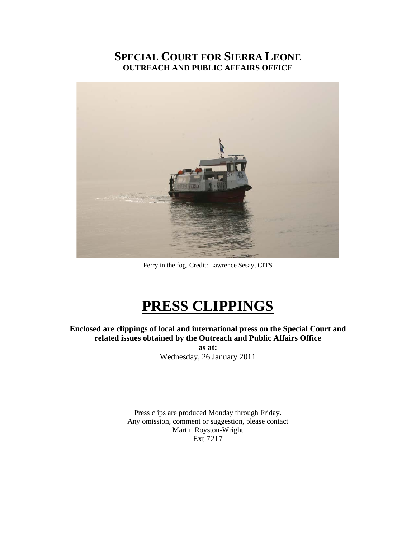# **SPECIAL COURT FOR SIERRA LEONE OUTREACH AND PUBLIC AFFAIRS OFFICE**



Ferry in the fog. Credit: Lawrence Sesay, CITS

# **PRESS CLIPPINGS**

**Enclosed are clippings of local and international press on the Special Court and related issues obtained by the Outreach and Public Affairs Office as at:** 

Wednesday, 26 January 2011

Press clips are produced Monday through Friday. Any omission, comment or suggestion, please contact Martin Royston-Wright Ext 7217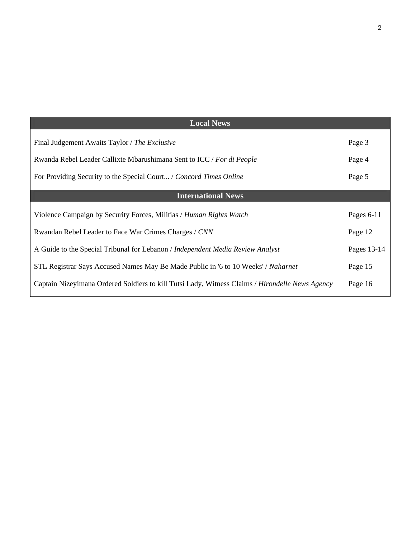| <b>Local News</b>                                                                               |              |
|-------------------------------------------------------------------------------------------------|--------------|
| Final Judgement Awaits Taylor / The Exclusive                                                   | Page 3       |
| Rwanda Rebel Leader Callixte Mbarushimana Sent to ICC / For di People                           | Page 4       |
| For Providing Security to the Special Court / Concord Times Online                              | Page 5       |
| <b>International News</b>                                                                       |              |
| Violence Campaign by Security Forces, Militias / Human Rights Watch                             | Pages $6-11$ |
| Rwandan Rebel Leader to Face War Crimes Charges / CNN                                           | Page 12      |
| A Guide to the Special Tribunal for Lebanon / Independent Media Review Analyst                  | Pages 13-14  |
| STL Registrar Says Accused Names May Be Made Public in '6 to 10 Weeks' / Naharnet               | Page 15      |
| Captain Nizeyimana Ordered Soldiers to kill Tutsi Lady, Witness Claims / Hirondelle News Agency | Page 16      |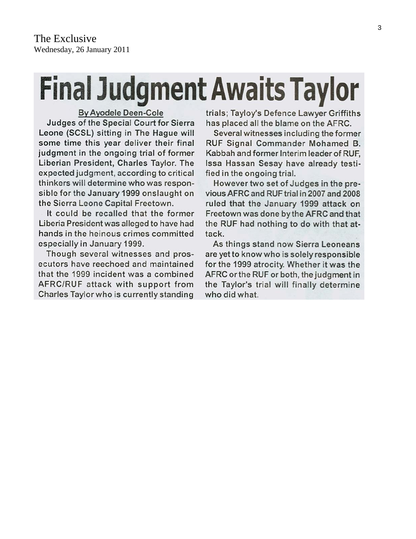# **Final Judgment Awaits Taylor**

#### By Ayodele Deen-Cole

Judges of the Special Court for Sierra Leone (SCSL) sitting in The Hague will some time this year deliver their final judgment in the ongoing trial of former Liberian President, Charles Taylor. The expected judgment, according to critical thinkers will determine who was responsible for the January 1999 onslaught on the Sierra Leone Capital Freetown.

It could be recalled that the former Liberia President was alleged to have had hands in the heinous crimes committed especially in January 1999.

Though several witnesses and prosecutors have reechoed and maintained that the 1999 incident was a combined AFRC/RUF attack with support from Charles Taylor who is currently standing trials; Tayloy's Defence Lawyer Griffiths has placed all the blame on the AFRC.

Several witnesses including the former RUF Signal Commander Mohamed B. Kabbah and former Interim leader of RUF, Issa Hassan Sesay have already testified in the ongoing trial.

However two set of Judges in the previous AFRC and RUF trial in 2007 and 2008 ruled that the January 1999 attack on Freetown was done by the AFRC and that the RUF had nothing to do with that attack.

As things stand now Sierra Leoneans are yet to know who is solely responsible for the 1999 atrocity. Whether it was the AFRC or the RUF or both, the judgment in the Taylor's trial will finally determine who did what.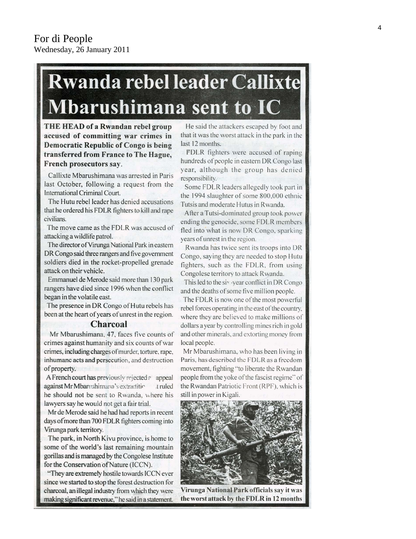# **Rwanda rebel leader Callixte** Mbarushimana sent to IC

**THE HEAD of a Rwandan rebel group** accused of committing war crimes in **Democratic Republic of Congo is being** transferred from France to The Hague, French prosecutors say.

Callixte Mbarushimana was arrested in Paris last October, following a request from the International Criminal Court.

The Hutu rebel leader has denied accusations that he ordered his FDLR fighters to kill and rape civilians.

The move came as the FDLR was accused of attacking a wildlife patrol.

The director of Virunga National Park in eastern DR Congo said three rangers and five government soldiers died in the rocket-propelled grenade attack on their vehicle.

Emmanuel de Merode said more than 130 park rangers have died since 1996 when the conflict began in the volatile east.

The presence in DR Congo of Hutu rebels has been at the heart of years of unrest in the region.

#### Charcoal

Mr Mbarushimana, 47, faces five counts of crimes against humanity and six counts of war crimes, including charges of murder, torture, rape, inhumane acts and persecution, and destruction of property.

A French court has previously rejected a appeal against Mr Mbarushimana's extradition truled he should not be sent to Rwanda, where his lawyers say he would not get a fair trial.

Mr de Merode said he had had reports in recent days of more than 700 FDLR fighters coming into Virunga park territory.

The park, in North Kivu province, is home to some of the world's last remaining mountain gorillas and is managed by the Congolese Institute for the Conservation of Nature (ICCN).

"They are extremely hostile towards ICCN ever since we started to stop the forest destruction for charcoal, an illegal industry from which they were making significant revenue," he said in a statement.

He said the attackers escaped by foot and that it was the worst attack in the park in the last 12 months.

FDLR fighters were accused of raping hundreds of people in eastern DR Congo last year, although the group has denied responsibility.

Some FDLR leaders allegedly took part in the 1994 slaughter of some 800,000 ethnic Tutsis and moderate Hutus in Rwanda.

After a Tutsi-dominated group took power ending the genocide, some FDLR members fled into what is now DR Congo, sparking years of unrest in the region.

Rwanda has twice sent its troops into DR Congo, saying they are needed to stop Hutu fighters, such as the FDLR, from using Congolese territory to attack Rwanda.

This led to the six year conflict in DR Congo and the deaths of some five million people.

The FDLR is now one of the most powerful rebel forces operating in the east of the country, where they are believed to make millions of dollars a year by controlling mines rich in gold and other minerals, and extorting money from local people.

Mr Mbarushimana, who has been living in Paris, has described the FDLR as a freedom movement, fighting "to liberate the Rwandan" people from the yoke of the fascist regime" of the Rwandan Patriotic Front (RPF), which is still in power in Kigali.



Virunga National Park officials say it was the worst attack by the FDLR in 12 months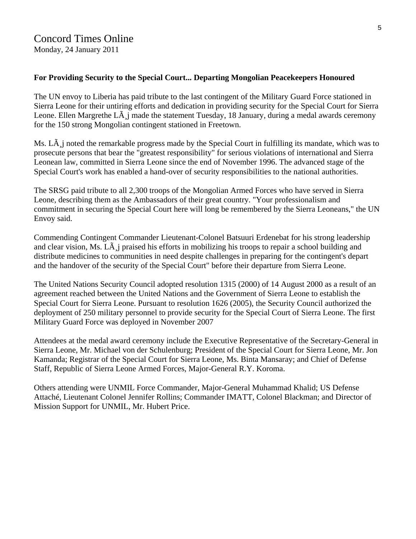## Concord Times Online

Monday, 24 January 2011

#### **For Providing Security to the Special Court... Departing Mongolian Peacekeepers Honoured**

The UN envoy to Liberia has paid tribute to the last contingent of the Military Guard Force stationed in Sierra Leone for their untiring efforts and dedication in providing security for the Special Court for Sierra Leone. Ellen Margrethe L $\tilde{A}$  j made the statement Tuesday, 18 January, during a medal awards ceremony for the 150 strong Mongolian contingent stationed in Freetown.

Ms. LÂ *j* noted the remarkable progress made by the Special Court in fulfilling its mandate, which was to prosecute persons that bear the "greatest responsibility" for serious violations of international and Sierra Leonean law, committed in Sierra Leone since the end of November 1996. The advanced stage of the Special Court's work has enabled a hand-over of security responsibilities to the national authorities.

The SRSG paid tribute to all 2,300 troops of the Mongolian Armed Forces who have served in Sierra Leone, describing them as the Ambassadors of their great country. "Your professionalism and commitment in securing the Special Court here will long be remembered by the Sierra Leoneans," the UN Envoy said.

Commending Contingent Commander Lieutenant-Colonel Batsuuri Erdenebat for his strong leadership and clear vision, Ms. L $\tilde{A}$  *j* praised his efforts in mobilizing his troops to repair a school building and distribute medicines to communities in need despite challenges in preparing for the contingent's depart and the handover of the security of the Special Court" before their departure from Sierra Leone.

The United Nations Security Council adopted resolution 1315 (2000) of 14 August 2000 as a result of an agreement reached between the United Nations and the Government of Sierra Leone to establish the Special Court for Sierra Leone. Pursuant to resolution 1626 (2005), the Security Council authorized the deployment of 250 military personnel to provide security for the Special Court of Sierra Leone. The first Military Guard Force was deployed in November 2007

Attendees at the medal award ceremony include the Executive Representative of the Secretary-General in Sierra Leone, Mr. Michael von der Schulenburg; President of the Special Court for Sierra Leone, Mr. Jon Kamanda; Registrar of the Special Court for Sierra Leone, Ms. Binta Mansaray; and Chief of Defense Staff, Republic of Sierra Leone Armed Forces, Major-General R.Y. Koroma.

Others attending were UNMIL Force Commander, Major-General Muhammad Khalid; US Defense Attaché, Lieutenant Colonel Jennifer Rollins; Commander IMATT, Colonel Blackman; and Director of Mission Support for UNMIL, Mr. Hubert Price.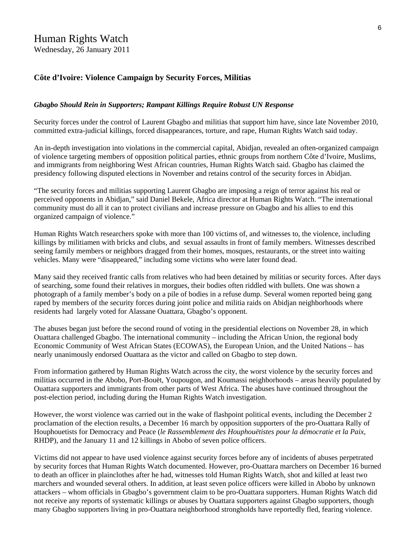Wednesday, 26 January 2011

#### **Côte d'Ivoire: Violence Campaign by Security Forces, Militias**

#### *Gbagbo Should Rein in Supporters; Rampant Killings Require Robust UN Response*

Security forces under the control of Laurent Gbagbo and militias that support him have, since late November 2010, committed extra-judicial killings, forced disappearances, torture, and rape, Human Rights Watch said today.

An in-depth investigation into violations in the commercial capital, Abidjan, revealed an often-organized campaign of violence targeting members of opposition political parties, ethnic groups from northern Côte d'Ivoire, Muslims, and immigrants from neighboring West African countries, Human Rights Watch said. Gbagbo has claimed the presidency following disputed elections in November and retains control of the security forces in Abidjan.

"The security forces and militias supporting Laurent Gbagbo are imposing a reign of terror against his real or perceived opponents in Abidjan," said Daniel Bekele, Africa director at Human Rights Watch. "The international community must do all it can to protect civilians and increase pressure on Gbagbo and his allies to end this organized campaign of violence."

Human Rights Watch researchers spoke with more than 100 victims of, and witnesses to, the violence, including killings by militiamen with bricks and clubs, and sexual assaults in front of family members. Witnesses described seeing family members or neighbors dragged from their homes, mosques, restaurants, or the street into waiting vehicles. Many were "disappeared," including some victims who were later found dead.

Many said they received frantic calls from relatives who had been detained by militias or security forces. After days of searching, some found their relatives in morgues, their bodies often riddled with bullets. One was shown a photograph of a family member's body on a pile of bodies in a refuse dump. Several women reported being gang raped by members of the security forces during joint police and militia raids on Abidjan neighborhoods where residents had largely voted for Alassane Ouattara, Gbagbo's opponent.

The abuses began just before the second round of voting in the presidential elections on November 28, in which Ouattara challenged Gbagbo. The international community – including the African Union, the regional body Economic Community of West African States (ECOWAS), the European Union, and the United Nations – has nearly unanimously endorsed Ouattara as the victor and called on Gbagbo to step down.

From information gathered by Human Rights Watch across the city, the worst violence by the security forces and militias occurred in the Abobo, Port-Bouët, Youpougon, and Koumassi neighborhoods – areas heavily populated by Ouattara supporters and immigrants from other parts of West Africa. The abuses have continued throughout the post-election period, including during the Human Rights Watch investigation.

However, the worst violence was carried out in the wake of flashpoint political events, including the December 2 proclamation of the election results, a December 16 march by opposition supporters of the pro-Ouattara Rally of Houphouetists for Democracy and Peace (*le Rassemblement des Houphouëtistes pour la démocratie et la Paix*, RHDP), and the January 11 and 12 killings in Abobo of seven police officers.

Victims did not appear to have used violence against security forces before any of incidents of abuses perpetrated by security forces that Human Rights Watch documented. However, pro-Ouattara marchers on December 16 burned to death an officer in plainclothes after he had, witnesses told Human Rights Watch, shot and killed at least two marchers and wounded several others. In addition, at least seven police officers were killed in Abobo by unknown attackers – whom officials in Gbagbo's government claim to be pro-Ouattara supporters. Human Rights Watch did not receive any reports of systematic killings or abuses by Ouattara supporters against Gbagbo supporters, though many Gbagbo supporters living in pro-Ouattara neighborhood strongholds have reportedly fled, fearing violence.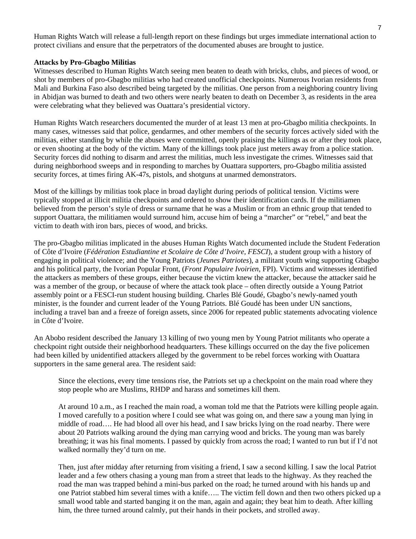Human Rights Watch will release a full-length report on these findings but urges immediate international action to protect civilians and ensure that the perpetrators of the documented abuses are brought to justice.

#### **Attacks by Pro-Gbagbo Militias**

Witnesses described to Human Rights Watch seeing men beaten to death with bricks, clubs, and pieces of wood, or shot by members of pro-Gbagbo militias who had created unofficial checkpoints. Numerous Ivorian residents from Mali and Burkina Faso also described being targeted by the militias. One person from a neighboring country living in Abidjan was burned to death and two others were nearly beaten to death on December 3, as residents in the area were celebrating what they believed was Ouattara's presidential victory.

Human Rights Watch researchers documented the murder of at least 13 men at pro-Gbagbo militia checkpoints. In many cases, witnesses said that police, gendarmes, and other members of the security forces actively sided with the militias, either standing by while the abuses were committed, openly praising the killings as or after they took place, or even shooting at the body of the victim. Many of the killings took place just meters away from a police station. Security forces did nothing to disarm and arrest the militias, much less investigate the crimes. Witnesses said that during neighborhood sweeps and in responding to marches by Ouattara supporters, pro-Gbagbo militia assisted security forces, at times firing AK-47s, pistols, and shotguns at unarmed demonstrators.

Most of the killings by militias took place in broad daylight during periods of political tension. Victims were typically stopped at illicit militia checkpoints and ordered to show their identification cards. If the militiamen believed from the person's style of dress or surname that he was a Muslim or from an ethnic group that tended to support Ouattara, the militiamen would surround him, accuse him of being a "marcher" or "rebel," and beat the victim to death with iron bars, pieces of wood, and bricks.

The pro-Gbagbo militias implicated in the abuses Human Rights Watch documented include the Student Federation of Côte d'Ivoire (*Fédération Estudiantine et Scolaire de Côte d'Ivoire, FESCI*), a student group with a history of engaging in political violence; and the Young Patriots (*Jeunes Patriotes*), a militant youth wing supporting Gbagbo and his political party, the Ivorian Popular Front, (*Front Populaire Ivoirien*, FPI). Victims and witnesses identified the attackers as members of these groups, either because the victim knew the attacker, because the attacker said he was a member of the group, or because of where the attack took place – often directly outside a Young Patriot assembly point or a FESCI-run student housing building. Charles Blé Goudé, Gbagbo's newly-named youth minister, is the founder and current leader of the Young Patriots. Blé Goudé has been under UN sanctions, including a travel ban and a freeze of foreign assets, since 2006 for repeated public statements advocating violence in Côte d'Ivoire.

An Abobo resident described the January 13 killing of two young men by Young Patriot militants who operate a checkpoint right outside their neighborhood headquarters. These killings occurred on the day the five policemen had been killed by unidentified attackers alleged by the government to be rebel forces working with Ouattara supporters in the same general area. The resident said:

Since the elections, every time tensions rise, the Patriots set up a checkpoint on the main road where they stop people who are Muslims, RHDP and harass and sometimes kill them.

At around 10 a.m., as I reached the main road, a woman told me that the Patriots were killing people again. I moved carefully to a position where I could see what was going on, and there saw a young man lying in middle of road…. He had blood all over his head, and I saw bricks lying on the road nearby. There were about 20 Patriots walking around the dying man carrying wood and bricks. The young man was barely breathing; it was his final moments. I passed by quickly from across the road; I wanted to run but if I'd not walked normally they'd turn on me.

Then, just after midday after returning from visiting a friend, I saw a second killing. I saw the local Patriot leader and a few others chasing a young man from a street that leads to the highway. As they reached the road the man was trapped behind a mini-bus parked on the road; he turned around with his hands up and one Patriot stabbed him several times with a knife….. The victim fell down and then two others picked up a small wood table and started banging it on the man, again and again; they beat him to death. After killing him, the three turned around calmly, put their hands in their pockets, and strolled away.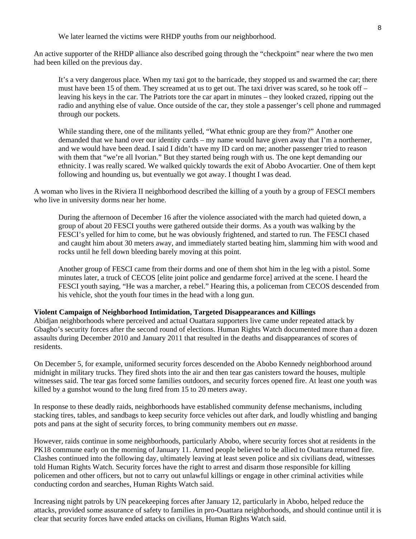We later learned the victims were RHDP youths from our neighborhood.

An active supporter of the RHDP alliance also described going through the "checkpoint" near where the two men had been killed on the previous day.

It's a very dangerous place. When my taxi got to the barricade, they stopped us and swarmed the car; there must have been 15 of them. They screamed at us to get out. The taxi driver was scared, so he took off – leaving his keys in the car. The Patriots tore the car apart in minutes – they looked crazed, ripping out the radio and anything else of value. Once outside of the car, they stole a passenger's cell phone and rummaged through our pockets.

While standing there, one of the militants yelled, "What ethnic group are they from?" Another one demanded that we hand over our identity cards – my name would have given away that I'm a northerner, and we would have been dead. I said I didn't have my ID card on me; another passenger tried to reason with them that "we're all Ivorian." But they started being rough with us. The one kept demanding our ethnicity. I was really scared. We walked quickly towards the exit of Abobo Avocartier. One of them kept following and hounding us, but eventually we got away. I thought I was dead.

A woman who lives in the Riviera II neighborhood described the killing of a youth by a group of FESCI members who live in university dorms near her home.

During the afternoon of December 16 after the violence associated with the march had quieted down, a group of about 20 FESCI youths were gathered outside their dorms. As a youth was walking by the FESCI's yelled for him to come, but he was obviously frightened, and started to run. The FESCI chased and caught him about 30 meters away, and immediately started beating him, slamming him with wood and rocks until he fell down bleeding barely moving at this point.

Another group of FESCI came from their dorms and one of them shot him in the leg with a pistol. Some minutes later, a truck of CECOS [elite joint police and gendarme force] arrived at the scene. I heard the FESCI youth saying, "He was a marcher, a rebel." Hearing this, a policeman from CECOS descended from his vehicle, shot the youth four times in the head with a long gun.

#### **Violent Campaign of Neighborhood Intimidation, Targeted Disappearances and Killings**

Abidjan neighborhoods where perceived and actual Ouattara supporters live came under repeated attack by Gbagbo's security forces after the second round of elections. Human Rights Watch documented more than a dozen assaults during December 2010 and January 2011 that resulted in the deaths and disappearances of scores of residents.

On December 5, for example, uniformed security forces descended on the Abobo Kennedy neighborhood around midnight in military trucks. They fired shots into the air and then tear gas canisters toward the houses, multiple witnesses said. The tear gas forced some families outdoors, and security forces opened fire. At least one youth was killed by a gunshot wound to the lung fired from 15 to 20 meters away.

In response to these deadly raids, neighborhoods have established community defense mechanisms, including stacking tires, tables, and sandbags to keep security force vehicles out after dark, and loudly whistling and banging pots and pans at the sight of security forces, to bring community members out *en masse*.

However, raids continue in some neighborhoods, particularly Abobo, where security forces shot at residents in the PK18 commune early on the morning of January 11. Armed people believed to be allied to Ouattara returned fire. Clashes continued into the following day, ultimately leaving at least seven police and six civilians dead, witnesses told Human Rights Watch. Security forces have the right to arrest and disarm those responsible for killing policemen and other officers, but not to carry out unlawful killings or engage in other criminal activities while conducting cordon and searches, Human Rights Watch said.

Increasing night patrols by UN peacekeeping forces after January 12, particularly in Abobo, helped reduce the attacks, provided some assurance of safety to families in pro-Ouattara neighborhoods, and should continue until it is clear that security forces have ended attacks on civilians, Human Rights Watch said.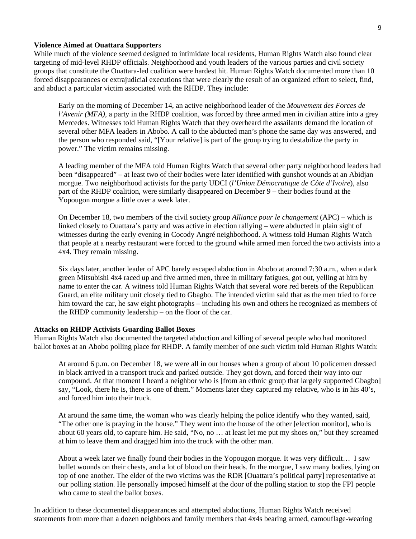#### **Violence Aimed at Ouattara Supporter**s

While much of the violence seemed designed to intimidate local residents, Human Rights Watch also found clear targeting of mid-level RHDP officials. Neighborhood and youth leaders of the various parties and civil society groups that constitute the Ouattara-led coalition were hardest hit. Human Rights Watch documented more than 10 forced disappearances or extrajudicial executions that were clearly the result of an organized effort to select, find, and abduct a particular victim associated with the RHDP. They include:

Early on the morning of December 14, an active neighborhood leader of the *Mouvement des Forces de l'Avenir (MFA)*, a party in the RHDP coalition, was forced by three armed men in civilian attire into a grey Mercedes. Witnesses told Human Rights Watch that they overheard the assailants demand the location of several other MFA leaders in Abobo. A call to the abducted man's phone the same day was answered, and the person who responded said, "[Your relative] is part of the group trying to destabilize the party in power." The victim remains missing.

A leading member of the MFA told Human Rights Watch that several other party neighborhood leaders had been "disappeared" – at least two of their bodies were later identified with gunshot wounds at an Abidjan morgue. Two neighborhood activists for the party UDCI (*l'Union Démocratique de Côte d'Ivoire*), also part of the RHDP coalition, were similarly disappeared on December 9 – their bodies found at the Yopougon morgue a little over a week later.

On December 18, two members of the civil society group *Alliance pour le changement* (APC) – which is linked closely to Ouattara's party and was active in election rallying – were abducted in plain sight of witnesses during the early evening in Cocody Angré neighborhood. A witness told Human Rights Watch that people at a nearby restaurant were forced to the ground while armed men forced the two activists into a 4x4. They remain missing.

Six days later, another leader of APC barely escaped abduction in Abobo at around 7:30 a.m., when a dark green Mitsubishi 4x4 raced up and five armed men, three in military fatigues, got out, yelling at him by name to enter the car. A witness told Human Rights Watch that several wore red berets of the Republican Guard, an elite military unit closely tied to Gbagbo. The intended victim said that as the men tried to force him toward the car, he saw eight photographs – including his own and others he recognized as members of the RHDP community leadership – on the floor of the car.

#### **Attacks on RHDP Activists Guarding Ballot Boxes**

Human Rights Watch also documented the targeted abduction and killing of several people who had monitored ballot boxes at an Abobo polling place for RHDP. A family member of one such victim told Human Rights Watch:

At around 6 p.m. on December 18, we were all in our houses when a group of about 10 policemen dressed in black arrived in a transport truck and parked outside. They got down, and forced their way into our compound. At that moment I heard a neighbor who is [from an ethnic group that largely supported Gbagbo] say, "Look, there he is, there is one of them." Moments later they captured my relative, who is in his 40's, and forced him into their truck.

At around the same time, the woman who was clearly helping the police identify who they wanted, said, "The other one is praying in the house." They went into the house of the other [election monitor], who is about 60 years old, to capture him. He said, "No, no … at least let me put my shoes on," but they screamed at him to leave them and dragged him into the truck with the other man.

About a week later we finally found their bodies in the Yopougon morgue. It was very difficult… I saw bullet wounds on their chests, and a lot of blood on their heads. In the morgue, I saw many bodies, lying on top of one another. The elder of the two victims was the RDR [Ouattara's political party] representative at our polling station. He personally imposed himself at the door of the polling station to stop the FPI people who came to steal the ballot boxes.

In addition to these documented disappearances and attempted abductions, Human Rights Watch received statements from more than a dozen neighbors and family members that 4x4s bearing armed, camouflage-wearing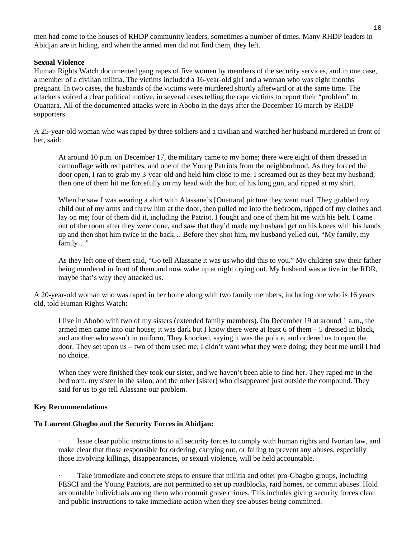men had come to the houses of RHDP community leaders, sometimes a number of times. Many RHDP leaders in Abidjan are in hiding, and when the armed men did not find them, they left.

#### **Sexual Violence**

Human Rights Watch documented gang rapes of five women by members of the security services, and in one case, a member of a civilian militia. The victims included a 16-year-old girl and a woman who was eight months pregnant. In two cases, the husbands of the victims were murdered shortly afterward or at the same time. The attackers voiced a clear political motive, in several cases telling the rape victims to report their "problem" to Ouattara. All of the documented attacks were in Abobo in the days after the December 16 march by RHDP supporters.

A 25-year-old woman who was raped by three soldiers and a civilian and watched her husband murdered in front of her, said:

At around 10 p.m. on December 17, the military came to my home; there were eight of them dressed in camouflage with red patches, and one of the Young Patriots from the neighborhood. As they forced the door open, I ran to grab my 3-year-old and held him close to me. I screamed out as they beat my husband, then one of them hit me forcefully on my head with the butt of his long gun, and ripped at my shirt.

When he saw I was wearing a shirt with Alassane's [Ouattara] picture they went mad. They grabbed my child out of my arms and threw him at the door, then pulled me into the bedroom, ripped off my clothes and lay on me; four of them did it, including the Patriot. I fought and one of them hit me with his belt. I came out of the room after they were done, and saw that they'd made my husband get on his knees with his hands up and then shot him twice in the back… Before they shot him, my husband yelled out, "My family, my family…"

As they left one of them said, "Go tell Alassane it was us who did this to you." My children saw their father being murdered in front of them and now wake up at night crying out. My husband was active in the RDR, maybe that's why they attacked us.

A 20-year-old woman who was raped in her home along with two family members, including one who is 16 years old, told Human Rights Watch:

I live in Abobo with two of my sisters (extended family members). On December 19 at around 1 a.m., the armed men came into our house; it was dark but I know there were at least 6 of them – 5 dressed in black, and another who wasn't in uniform. They knocked, saying it was the police, and ordered us to open the door. They set upon us – two of them used me; I didn't want what they were doing; they beat me until I had no choice.

When they were finished they took our sister, and we haven't been able to find her. They raped me in the bedroom, my sister in the salon, and the other [sister] who disappeared just outside the compound. They said for us to go tell Alassane our problem.

#### **Key Recommendations**

#### **To Laurent Gbagbo and the Security Forces in Abidjan:**

Issue clear public instructions to all security forces to comply with human rights and Ivorian law, and make clear that those responsible for ordering, carrying out, or failing to prevent any abuses, especially those involving killings, disappearances, or sexual violence, will be held accountable.

Take immediate and concrete steps to ensure that militia and other pro-Gbagbo groups, including FESCI and the Young Patriots, are not permitted to set up roadblocks, raid homes, or commit abuses. Hold accountable individuals among them who commit grave crimes. This includes giving security forces clear and public instructions to take immediate action when they see abuses being committed.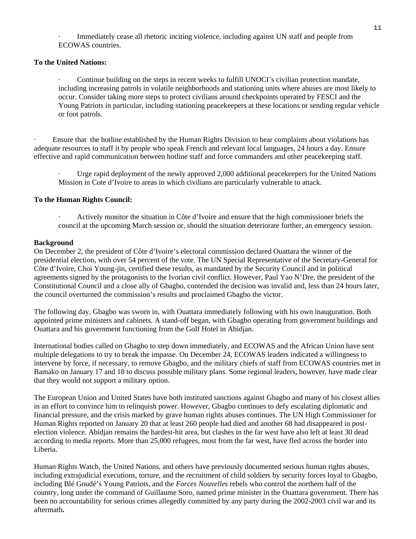Immediately cease all rhetoric inciting violence, including against UN staff and people from ECOWAS countries.

#### **To the United Nations:**

· Continue building on the steps in recent weeks to fulfill UNOCI's civilian protection mandate, including increasing patrols in volatile neighborhoods and stationing units where abuses are most likely to occur. Consider taking more steps to protect civilians around checkpoints operated by FESCI and the Young Patriots in particular, including stationing peacekeepers at these locations or sending regular vehicle or foot patrols.

Ensure that the hotline established by the Human Rights Division to hear complaints about violations has adequate resources to staff it by people who speak French and relevant local languages, 24 hours a day. Ensure effective and rapid communication between hotline staff and force commanders and other peacekeeping staff.

Urge rapid deployment of the newly approved 2,000 additional peacekeepers for the United Nations Mission in Cote d'Ivoire to areas in which civilians are particularly vulnerable to attack.

#### **To the Human Rights Council:**

· Actively monitor the situation in Côte d'Ivoire and ensure that the high commissioner briefs the council at the upcoming March session or, should the situation deteriorate further, an emergency session.

#### **Background**

On December 2, the president of Côte d'Ivoire's electoral commission declared Ouattara the winner of the presidential election, with over 54 percent of the vote. The UN Special Representative of the Secretary-General for Côte d'Ivoire, Choi Young-jin, certified these results, as mandated by the Security Council and in political agreements signed by the protagonists to the Ivorian civil conflict. However, Paul Yao N'Dre, the president of the Constitutional Council and a close ally of Gbagbo, contended the decision was invalid and, less than 24 hours later, the council overturned the commission's results and proclaimed Gbagbo the victor.

The following day, Gbagbo was sworn in, with Ouattara immediately following with his own inauguration. Both appointed prime ministers and cabinets. A stand-off began, with Gbagbo operating from government buildings and Ouattara and his government functioning from the Golf Hotel in Abidjan.

International bodies called on Gbagbo to step down immediately, and ECOWAS and the African Union have sent multiple delegations to try to break the impasse. On December 24, ECOWAS leaders indicated a willingness to intervene by force, if necessary, to remove Gbagbo, and the military chiefs of staff from ECOWAS countries met in Bamako on January 17 and 18 to discuss possible military plans. Some regional leaders, however, have made clear that they would not support a military option.

The European Union and United States have both instituted sanctions against Gbagbo and many of his closest allies in an effort to convince him to relinquish power. However, Gbagbo continues to defy escalating diplomatic and financial pressure, and the crisis marked by grave human rights abuses continues. The UN High Commissioner for Human Rights reported on January 20 that at least 260 people had died and another 68 had disappeared in postelection violence. Abidjan remains the hardest-hit area, but clashes in the far west have also left at least 30 dead according to media reports. More than 25,000 refugees, most from the far west, have fled across the border into Liberia.

Human Rights Watch, the United Nations, and others have previously documented serious human rights abuses, including extrajudicial executions, torture, and the recruitment of child soldiers by security forces loyal to Gbagbo, including Blé Goudé's Young Patriots, and the *Forces Nouvelles* rebels who control the northern half of the country, long under the command of Guillaume Soro, named prime minister in the Ouattara government. There has been no accountability for serious crimes allegedly committed by any party during the 2002-2003 civil war and its aftermath**.**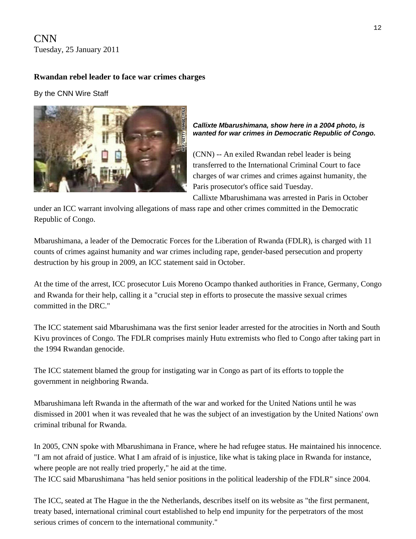CNN Tuesday, 25 January 2011

#### **Rwandan rebel leader to face war crimes charges**

By the CNN Wire Staff



#### *Callixte Mbarushimana, show here in a 2004 photo, is wanted for war crimes in Democratic Republic of Congo.*

(CNN) -- An exiled Rwandan rebel leader is being transferred to the International Criminal Court to face charges of war crimes and crimes against humanity, the Paris prosecutor's office said Tuesday.

Callixte Mbarushimana was arrested in Paris in October

under an ICC warrant involving allegations of mass rape and other crimes committed in the Democratic Republic of Congo.

Mbarushimana, a leader of the Democratic Forces for the Liberation of Rwanda (FDLR), is charged with 11 counts of crimes against humanity and war crimes including rape, gender-based persecution and property destruction by his group in 2009, an ICC statement said in October.

At the time of the arrest, ICC prosecutor Luis Moreno Ocampo thanked authorities in France, Germany, Congo and Rwanda for their help, calling it a "crucial step in efforts to prosecute the massive sexual crimes committed in the DRC."

The ICC statement said Mbarushimana was the first senior leader arrested for the atrocities in North and South Kivu provinces of Congo. The FDLR comprises mainly Hutu extremists who fled to Congo after taking part in the 1994 Rwandan genocide.

The ICC statement blamed the group for instigating war in Congo as part of its efforts to topple the government in neighboring Rwanda.

Mbarushimana left Rwanda in the aftermath of the war and worked for the United Nations until he was dismissed in 2001 when it was revealed that he was the subject of an investigation by the United Nations' own criminal tribunal for Rwanda.

In 2005, CNN spoke with Mbarushimana in France, where he had refugee status. He maintained his innocence. "I am not afraid of justice. What I am afraid of is injustice, like what is taking place in Rwanda for instance, where people are not really tried properly," he aid at the time.

The ICC said Mbarushimana "has held senior positions in the political leadership of the FDLR" since 2004.

The ICC, seated at The Hague in the the Netherlands, describes itself on its website as "the first permanent, treaty based, international criminal court established to help end impunity for the perpetrators of the most serious crimes of concern to the international community."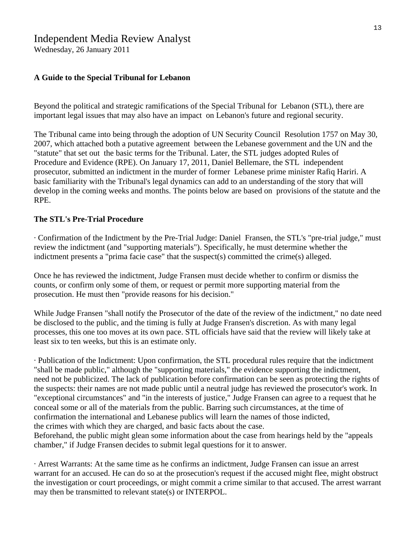# Independent Media Review Analyst

Wednesday, 26 January 2011

#### **A Guide to the Special Tribunal for Lebanon**

Beyond the political and strategic ramifications of the Special Tribunal for Lebanon (STL), there are important legal issues that may also have an impact on Lebanon's future and regional security.

The Tribunal came into being through the adoption of UN Security Council Resolution 1757 on May 30, 2007, which attached both a putative agreement between the Lebanese government and the UN and the "statute" that set out the basic terms for the Tribunal. Later, the STL judges adopted Rules of Procedure and Evidence (RPE). On January 17, 2011, Daniel Bellemare, the STL independent prosecutor, submitted an indictment in the murder of former Lebanese prime minister Rafiq Hariri. A basic familiarity with the Tribunal's legal dynamics can add to an understanding of the story that will develop in the coming weeks and months. The points below are based on provisions of the statute and the RPE.

#### **The STL's Pre-Trial Procedure**

· Confirmation of the Indictment by the Pre-Trial Judge: Daniel Fransen, the STL's "pre-trial judge," must review the indictment (and "supporting materials"). Specifically, he must determine whether the indictment presents a "prima facie case" that the suspect(s) committed the crime(s) alleged.

Once he has reviewed the indictment, Judge Fransen must decide whether to confirm or dismiss the counts, or confirm only some of them, or request or permit more supporting material from the prosecution. He must then "provide reasons for his decision."

While Judge Fransen "shall notify the Prosecutor of the date of the review of the indictment," no date need be disclosed to the public, and the timing is fully at Judge Fransen's discretion. As with many legal processes, this one too moves at its own pace. STL officials have said that the review will likely take at least six to ten weeks, but this is an estimate only.

· Publication of the Indictment: Upon confirmation, the STL procedural rules require that the indictment "shall be made public," although the "supporting materials," the evidence supporting the indictment, need not be publicized. The lack of publication before confirmation can be seen as protecting the rights of the suspects: their names are not made public until a neutral judge has reviewed the prosecutor's work. In "exceptional circumstances" and "in the interests of justice," Judge Fransen can agree to a request that he conceal some or all of the materials from the public. Barring such circumstances, at the time of confirmation the international and Lebanese publics will learn the names of those indicted, the crimes with which they are charged, and basic facts about the case.

Beforehand, the public might glean some information about the case from hearings held by the "appeals chamber," if Judge Fransen decides to submit legal questions for it to answer.

· Arrest Warrants: At the same time as he confirms an indictment, Judge Fransen can issue an arrest warrant for an accused. He can do so at the prosecution's request if the accused might flee, might obstruct the investigation or court proceedings, or might commit a crime similar to that accused. The arrest warrant may then be transmitted to relevant state(s) or INTERPOL.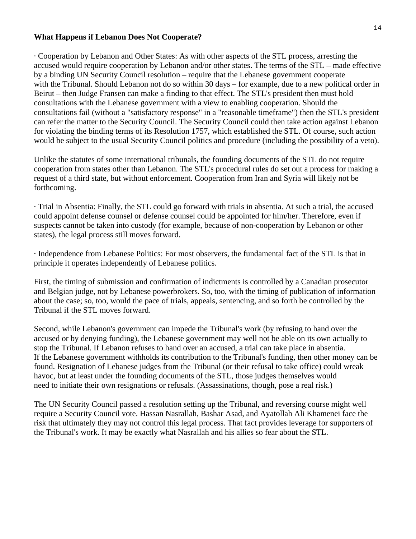#### **What Happens if Lebanon Does Not Cooperate?**

· Cooperation by Lebanon and Other States: As with other aspects of the STL process, arresting the accused would require cooperation by Lebanon and/or other states. The terms of the STL – made effective by a binding UN Security Council resolution – require that the Lebanese government cooperate with the Tribunal. Should Lebanon not do so within 30 days – for example, due to a new political order in Beirut – then Judge Fransen can make a finding to that effect. The STL's president then must hold consultations with the Lebanese government with a view to enabling cooperation. Should the consultations fail (without a "satisfactory response" in a "reasonable timeframe") then the STL's president can refer the matter to the Security Council. The Security Council could then take action against Lebanon for violating the binding terms of its Resolution 1757, which established the STL. Of course, such action would be subject to the usual Security Council politics and procedure (including the possibility of a veto).

Unlike the statutes of some international tribunals, the founding documents of the STL do not require cooperation from states other than Lebanon. The STL's procedural rules do set out a process for making a request of a third state, but without enforcement. Cooperation from Iran and Syria will likely not be forthcoming.

· Trial in Absentia: Finally, the STL could go forward with trials in absentia. At such a trial, the accused could appoint defense counsel or defense counsel could be appointed for him/her. Therefore, even if suspects cannot be taken into custody (for example, because of non-cooperation by Lebanon or other states), the legal process still moves forward.

· Independence from Lebanese Politics: For most observers, the fundamental fact of the STL is that in principle it operates independently of Lebanese politics.

First, the timing of submission and confirmation of indictments is controlled by a Canadian prosecutor and Belgian judge, not by Lebanese powerbrokers. So, too, with the timing of publication of information about the case; so, too, would the pace of trials, appeals, sentencing, and so forth be controlled by the Tribunal if the STL moves forward.

Second, while Lebanon's government can impede the Tribunal's work (by refusing to hand over the accused or by denying funding), the Lebanese government may well not be able on its own actually to stop the Tribunal. If Lebanon refuses to hand over an accused, a trial can take place in absentia. If the Lebanese government withholds its contribution to the Tribunal's funding, then other money can be found. Resignation of Lebanese judges from the Tribunal (or their refusal to take office) could wreak havoc, but at least under the founding documents of the STL, those judges themselves would need to initiate their own resignations or refusals. (Assassinations, though, pose a real risk.)

The UN Security Council passed a resolution setting up the Tribunal, and reversing course might well require a Security Council vote. Hassan Nasrallah, Bashar Asad, and Ayatollah Ali Khamenei face the risk that ultimately they may not control this legal process. That fact provides leverage for supporters of the Tribunal's work. It may be exactly what Nasrallah and his allies so fear about the STL.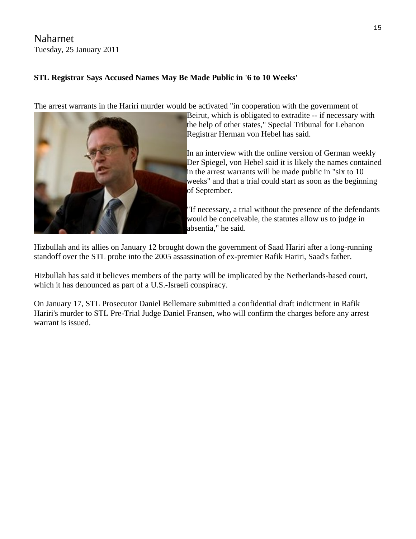## Naharnet Tuesday, 25 January 2011

#### **STL Registrar Says Accused Names May Be Made Public in '6 to 10 Weeks'**

The arrest warrants in the Hariri murder would be activated "in cooperation with the government of



Beirut, which is obligated to extradite -- if necessary with the help of other states," Special Tribunal for Lebanon Registrar Herman von Hebel has said.

Der Spiegel, von Hebel said it is likely the names contained weeks" and that a trial could start as soon as the beginning In an interview with the online version of German weekly in the arrest warrants will be made public in "six to 10 of September.

"If necessary, a trial without the presence of the defendants would be conceivable, the statutes allow us to judge in absentia," he said.

Hizbullah and its allies on January 12 brought down the government of Saad Hariri after a long-running standoff over the STL probe into the 2005 assassination of ex-premier Rafik Hariri, Saad's father.

Hizbullah has said it believes members of the party will be implicated by the Netherlands-based court, which it has denounced as part of a U.S.-Israeli conspiracy.

On January 17, STL Prosecutor Daniel Bellemare submitted a confidential draft indictment in Rafik Hariri's murder to STL Pre-Trial Judge Daniel Fransen, who will confirm the charges before any arrest warrant is issued.